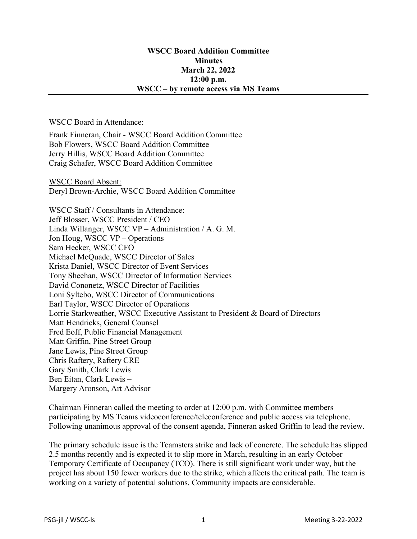## WSCC Board Addition Committee **Minutes** March 22, 2022 12:00 p.m. WSCC – by remote access via MS Teams

## WSCC Board in Attendance:

Frank Finneran, Chair - WSCC Board Addition Committee Bob Flowers, WSCC Board Addition Committee Jerry Hillis, WSCC Board Addition Committee Craig Schafer, WSCC Board Addition Committee

WSCC Board Absent: Deryl Brown-Archie, WSCC Board Addition Committee

WSCC Staff / Consultants in Attendance: Jeff Blosser, WSCC President / CEO Linda Willanger, WSCC VP – Administration / A. G. M. Jon Houg, WSCC VP – Operations Sam Hecker, WSCC CFO Michael McQuade, WSCC Director of Sales Krista Daniel, WSCC Director of Event Services Tony Sheehan, WSCC Director of Information Services David Cononetz, WSCC Director of Facilities Loni Syltebo, WSCC Director of Communications Earl Taylor, WSCC Director of Operations Lorrie Starkweather, WSCC Executive Assistant to President & Board of Directors Matt Hendricks, General Counsel Fred Eoff, Public Financial Management Matt Griffin, Pine Street Group Jane Lewis, Pine Street Group Chris Raftery, Raftery CRE Gary Smith, Clark Lewis Ben Eitan, Clark Lewis – Margery Aronson, Art Advisor

Chairman Finneran called the meeting to order at 12:00 p.m. with Committee members participating by MS Teams videoconference/teleconference and public access via telephone. Following unanimous approval of the consent agenda, Finneran asked Griffin to lead the review.

The primary schedule issue is the Teamsters strike and lack of concrete. The schedule has slipped 2.5 months recently and is expected it to slip more in March, resulting in an early October Temporary Certificate of Occupancy (TCO). There is still significant work under way, but the project has about 150 fewer workers due to the strike, which affects the critical path. The team is working on a variety of potential solutions. Community impacts are considerable.